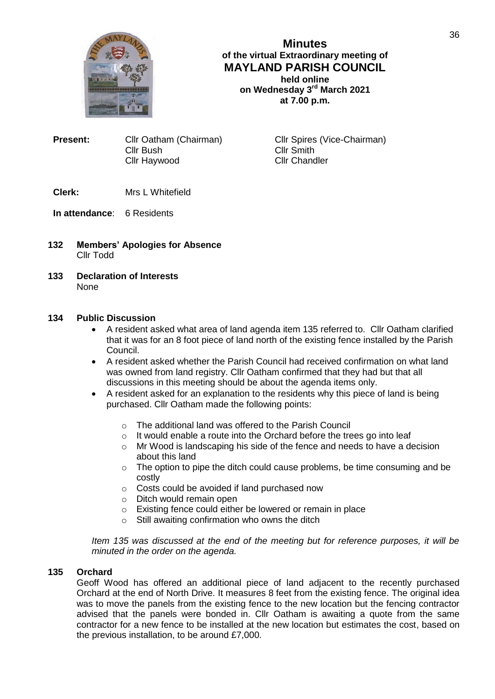

**Minutes of the virtual Extraordinary meeting of MAYLAND PARISH COUNCIL held online on Wednesday 3rd March 2021 at 7.00 p.m.**

**Present:** Cllr Oatham (Chairman) Cllr Spires (Vice-Chairman) Cllr Bush Cllr Smith Cllr Haywood

# **Clerk:** Mrs L Whitefield

# **In attendance**: 6 Residents

- **132 Members' Apologies for Absence** Cllr Todd
- **133 Declaration of Interests** None

## **134 Public Discussion**

- A resident asked what area of land agenda item 135 referred to. Cllr Oatham clarified that it was for an 8 foot piece of land north of the existing fence installed by the Parish Council.
- A resident asked whether the Parish Council had received confirmation on what land was owned from land registry. Cllr Oatham confirmed that they had but that all discussions in this meeting should be about the agenda items only.
- A resident asked for an explanation to the residents why this piece of land is being purchased. Cllr Oatham made the following points:
	- o The additional land was offered to the Parish Council
	- $\circ$  It would enable a route into the Orchard before the trees go into leaf
	- o Mr Wood is landscaping his side of the fence and needs to have a decision about this land
	- o The option to pipe the ditch could cause problems, be time consuming and be costly
	- o Costs could be avoided if land purchased now
	- o Ditch would remain open
	- o Existing fence could either be lowered or remain in place
	- o Still awaiting confirmation who owns the ditch

*Item 135 was discussed at the end of the meeting but for reference purposes, it will be minuted in the order on the agenda.*

### **135 Orchard**

Geoff Wood has offered an additional piece of land adjacent to the recently purchased Orchard at the end of North Drive. It measures 8 feet from the existing fence. The original idea was to move the panels from the existing fence to the new location but the fencing contractor advised that the panels were bonded in. Cllr Oatham is awaiting a quote from the same contractor for a new fence to be installed at the new location but estimates the cost, based on the previous installation, to be around £7,000.